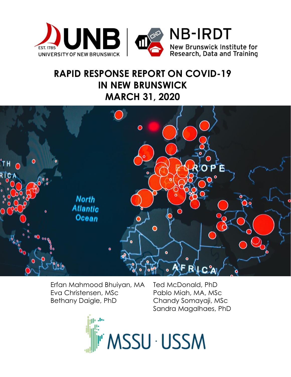

# **RAPID RESPONSE REPORT ON COVID-19 IN NEW BRUNSWICK MARCH 31, 2020**



Erfan Mahmood Bhuiyan, MA Ted McDonald, PhD Eva Christensen, MSc Pablo Miah, MA, MSc Bethany Daigle, PhD Chandy Somayaji, MSc

Sandra Magalhaes, PhD

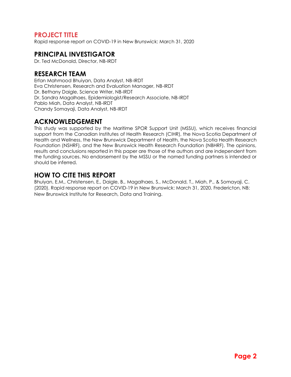## **PROJECT TITLE**

Rapid response report on COVID-19 in New Brunswick: March 31, 2020

### **PRINCIPAL INVESTIGATOR**

Dr. Ted McDonald, Director, NB-IRDT

### **RESEARCH TEAM**

Erfan Mahmood Bhuiyan, Data Analyst, NB-IRDT Eva Christensen, Research and Evaluation Manager, NB-IRDT Dr. Bethany Daigle, Science Writer, NB-IRDT Dr. Sandra Magalhaes, Epidemiologist/Research Associate, NB-IRDT Pablo Miah, Data Analyst, NB-IRDT Chandy Somayaji, Data Analyst, NB-IRDT

## **ACKNOWLEDGEMENT**

This study was supported by the Maritime SPOR Support Unit (MSSU), which receives financial support from the Canadian Institutes of Health Research (CIHR), the Nova Scotia Department of Health and Wellness, the New Brunswick Department of Health, the Nova Scotia Health Research Foundation (NSHRF), and the New Brunswick Health Research Foundation (NBHRF). The opinions, results and conclusions reported in this paper are those of the authors and are independent from the funding sources. No endorsement by the MSSU or the named funding partners is intended or should be inferred.

## **HOW TO CITE THIS REPORT**

Bhuiyan, E.M., Christensen, E., Daigle, B., Magalhaes, S., McDonald, T., Miah, P., & Somayaji, C. (2020). Rapid response report on COVID-19 in New Brunswick: March 31, 2020. Fredericton, NB: New Brunswick Institute for Research, Data and Training.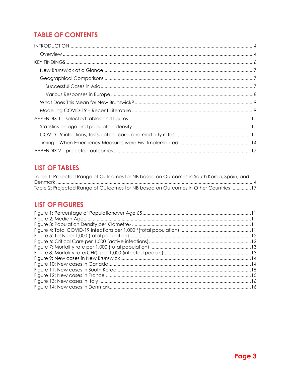## **TABLE OF CONTENTS**

## **LIST OF TABLES**

| Table 1: Projected Range of Outcomes for NB based on Outcomes in South Korea, Spain, and |  |
|------------------------------------------------------------------------------------------|--|
|                                                                                          |  |
| Table 2: Projected Range of Outcomes for NB based on Outcomes in Other Countries 17      |  |

## **LIST OF FIGURES**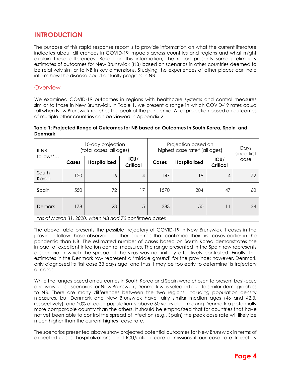## <span id="page-3-0"></span>**INTRODUCTION**

The purpose of this rapid response report is to provide information on what the current literature indicates about differences in COVID-19 impacts across countries and regions and what might explain those differences. Based on this information, the report presents some preliminary estimates of outcomes for New Brunswick (NB) based on scenarios in other countries deemed to be relatively similar to NB in key dimensions. Studying the experiences of other places can help inform how the disease could actually progress in NB.

#### <span id="page-3-1"></span>**Overview**

We examined COVID-19 outcomes in regions with healthcare systems and control measures similar to those in New Brunswick. In Table 1, we present a range in which COVID-19 rates *could* fall when New Brunswick reaches the peak of the pandemic. A full projection based on outcomes of multiple other countries can be viewed in Appendix 2.

#### <span id="page-3-2"></span>**Table 1: Projected Range of Outcomes for NB based on Outcomes in South Korea, Spain, and Denmark**

| If NB<br>follows*                                     | 10-day projection<br>(total cases, all ages) |                     |                         | Projection based on<br>highest case rate* (all ages) | Days<br>since first |                         |      |
|-------------------------------------------------------|----------------------------------------------|---------------------|-------------------------|------------------------------------------------------|---------------------|-------------------------|------|
|                                                       | Cases                                        | <b>Hospitalized</b> | ICU/<br><b>Critical</b> | Cases                                                | <b>Hospitalized</b> | ICU/<br><b>Critical</b> | case |
| South<br>Korea                                        | 120                                          | 16                  | 4                       | 147                                                  | 19                  | 4                       | 72   |
| Spain                                                 | 550                                          | 72                  | 17                      | 1570                                                 | 204                 | 47                      | 60   |
| Demark                                                | 178                                          | 23                  | 5                       | 383                                                  | 50                  | 11                      | 34   |
| *as of March 31, 2020, when NB had 70 confirmed cases |                                              |                     |                         |                                                      |                     |                         |      |

The above table presents the possible trajectory of COVID-19 in New Brunswick if cases in the province follow those observed in other countries that confirmed their first cases earlier in the pandemic than NB. The estimated number of cases based on South Korea demonstrates the impact of excellent infection control measures. The range presented in the Spain row represents a scenario in which the spread of the virus was not initially effectively controlled. Finally, the estimates in the Denmark row represent a 'middle ground' for the province; however, Denmark only diagnosed its first case 33 days ago, and thus it may be too early to determine its trajectory of cases.

While the ranges based on outcomes in South Korea and Spain were chosen to present best-case and worst-case scenarios for New Brunswick, Denmark was selected due to similar demographics to NB. There are many differences between the two regions, including population density measures, but Denmark and New Brunswick have fairly similar median ages (46 and 42.3, respectively), and 20% of each population is above 60 years old – making Denmark a potentially more comparable country than the others. It should be emphasized that for countries that have not yet been able to control the spread of infection (e.g., Spain) the peak case rate will likely be much higher than the current highest case rate.

The scenarios presented above show projected potential outcomes for New Brunswick in terms of expected cases, hospitalizations, and ICU/critical care admissions if our case rate trajectory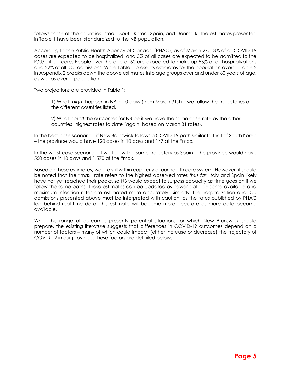follows those of the countries listed – South Korea, Spain, and Denmark. The estimates presented in Table 1 have been standardized to the NB population.

According to the Public Health Agency of Canada (PHAC), as of March 27, 13% of all COVID-19 cases are expected to be hospitalized, and 3% of all cases are expected to be admitted to the ICU/critical care. People over the age of 60 are expected to make up 56% of all hospitalizations and 52% of all ICU admissions. While Table 1 presents estimates for the population overall, Table 2 in Appendix 2 breaks down the above estimates into age groups over and under 60 years of age, as well as overall population.

Two projections are provided in Table 1:

1) What *might* happen in NB in 10 days (from March 31st) if we follow the trajectories of the different countries listed.

2) What *could* the outcomes for NB be if we have the same case-rate as the other countries' highest rates to date (again, based on March 31 rates).

In the best-case scenario – if New Brunswick follows a COVID-19 path similar to that of South Korea – the province would have 120 cases in 10 days and 147 at the "max."

In the worst-case scenario – if we follow the same trajectory as Spain – the province would have 550 cases in 10 days and 1,570 at the "max."

Based on these estimates, we are still within capacity of our health care system. However, it should be noted that the "max" rate refers to the highest observed rates *thus far*. Italy and Spain likely have not yet reached their peaks, so NB would expect to surpass capacity as time goes on if we follow the same paths. These estimates can be updated as newer data become available and maximum infection rates are estimated more accurately. Similarly, the hospitalization and ICU admissions presented above must be interpreted with caution, as the rates published by PHAC lag behind real-time data. This estimate will become more accurate as more data become available.

While this range of outcomes presents potential situations for which New Brunswick should prepare, the existing literature suggests that differences in COVID-19 outcomes depend on a number of factors – many of which could impact (either increase or decrease) the trajectory of COVID-19 in our province. These factors are detailed below.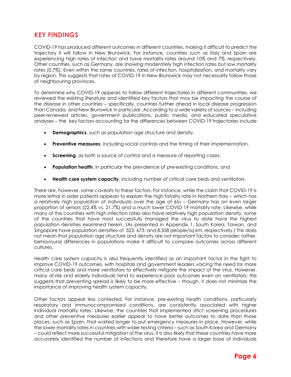## <span id="page-5-0"></span>**KEY FINDINGS**

COVID-19 has produced different outcomes in different countries, making it difficult to predict the trajectory it will follow in New Brunswick. For instance, countries such as Italy and Spain are experiencing high rates of infection and have mortality rates around 10% and 7%, respectively. Other countries, such as Germany, are showing moderately high infection rates but low mortality rates (0.7%). Even within the same countries, rates of infection, hospitalization, and mortality vary by region. This suggests that rates of COVID-19 in New Brunswick may not necessarily follow those of neighbouring provinces.

To determine why COVID-19 appears to follow different trajectories in different communities, we reviewed the existing literature and identified key factors that may be impacting the course of the disease in other countries – specifically, countries further ahead in local disease progression than Canada, and New Brunswick in particular. According to a wide variety of sources – including peer-reviewed articles, government publications, public media, and educated speculative analyses – the key factors accounting for the differences between COVID-19 trajectories include

- **Demographics**, such as population age structure and density,
- **Preventive measures**, including social controls and the timing of their implementation,
- **Screening**, as both a source of control and a measure of reporting cases,
- **Population health**, in particular the prevalence of pre-existing conditions, and
- **Health care system capacity**, including number of critical care beds and ventilators.

There are, however, some caveats to these factors. For instance, while the claim that COVID-19 is more lethal in older patients appears to explain the high fatality rate in Northern Italy – which has a relatively high population of individuals over the age of 65ii - Germany has an even larger proportion of seniors (22.4% vs. 21.7%) and a much lower COVID-19 mortality rate. Likewise, while many of the countries with high infection rates also have relatively high population density, some of the countries that have most successfully managed the virus to date have the highest population densities examined herein. (As presented in Appendix 1, South Korea, Taiwan, and Singapore have population densities of 523, 673, and 8,358 people/sq km, respectively.) This does not mean that population age structure and density are not important factors to consider; rather, behavioural differences in populations make it difficult to compare outcomes across different cultures.

Health care system capacity is also frequently identified as an important factor in the fight to improve COVID-19 outcomes, with hospitals and government leaders voicing the need for more critical care beds and more ventilators to effectively mitigate the impact of the virus. However, many at-risk and elderly individuals tend to experience poor outcomes even on ventilators; this suggests that preventing spread is likely to be more effective – though, it does not minimize the importance of improving health system capacity.

Other factors appear less contested. For instance, pre-existing health conditions, particularly respiratory and immunocompromised conditions, are consistently associated with higher individual mortality rates. Likewise, the countries that implemented strict screening procedures and other preventive measures earlier appear to have better outcomes to date than those places, such as Spain, that waited longer to put emergency measures in place. However, while the lower mortality rates in countries with wider testing criteria – such as South Korea and Germany – could reflect more successful mitigation of the virus, it is also likely that these countries have more accurately identified the number of infections and therefore have a larger base of individuals

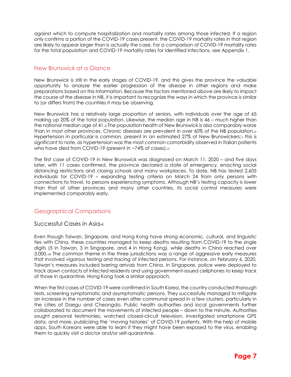against which to compute hospitalization and mortality rates among those infected. If a region only confirms a portion of the COVID-19 cases present, the COVID-19 mortality rates in that region are likely to appear larger than is actually the case. For a comparison of COVID-19 mortality rates for the total population and COVID-19 mortality rates for identified infections, see Appendix 1.

#### <span id="page-6-0"></span>New Brunswick at a Glance

New Brunswick is still in the early stages of COVID-19, and this gives the province the valuable opportunity to analyze the earlier progression of the disease in other regions and make preparations based on this information. Because the factors mentioned above are likely to impact the course of the disease in NB, it is important to recognize the ways in which the province is similar to (or differs from) the countries it may be observing.

New Brunswick has a relatively large proportion of seniors, with individuals over the age of 65 making up 20% of the total population. Likewise, the median age in NB is 46 – much higher than the national median age of 41.iii The population health of New Brunswick is also comparably worse than in most other provinces. Chronic diseases are prevalent in over 60% of the NB population.iv Hypertension in particular is common, present in an estimated 27% of New Brunswickers; this is significant to note, as hypertension was the most common comorbidity observed in Italian patients who have died from COVID-19 (present in ~74% of cases).vi

The first case of COVID-19 in New Brunswick was diagnosed on March 11, 2020 – and five days later, with 11 cases confirmed, the province declared a state of emergency, enacting social distancing restrictions and closing schools and many workplaces. To date, NB has tested 2,605 individuals for COVID-19 – expanding testing criteria on March 24 from only persons with connections to travel, to persons experiencing symptoms. Although NB's testing capacity is lower than that of other provinces and many other countries, its social control measures were implemented comparably early.

#### <span id="page-6-1"></span>Geographical Comparisons

#### <span id="page-6-2"></span>Successful Cases in Asiavii

Even though Taiwan, Singapore, and Hong Kong have strong economic, cultural, and linguistic ties with China, these countries managed to keep deaths resulting from COVID-19 to the single digits (5 in Taiwan, 3 in Singapore, and 4 in Hong Kong), while deaths in China reached over 3,000.viii The common theme in the three jurisdictions was a range of aggressive early measures that involved vigorous testing and tracing of infected persons. For instance, on February 6, 2020, Taiwan's measures included barring arrivals from China. In Singapore, police were deployed to track down contacts of infected residents and using government-issued cellphones to keep track of those in quarantine. Hong Kong took a similar approach.

When the first cases of COVID-19 were confirmed in South Korea, the country conducted thorough tests, screening symptomatic and asymptomatic persons. They successfully managed to mitigate an increase in the number of cases even after communal spread in a few clusters, particularly in the cities of Daegu and Cheongdo. Public health authorities and local governments further collaborated to document the movements of infected people – down to the minute. Authorities sought personal testimonies, watched closed-circuit television, investigated smartphone GPS data, and more, publicizing the 'moving histories' of COVID-19 patients. With the help of mobile apps, South Koreans were able to learn if they might have been exposed to the virus, enabling them to quickly visit a doctor and/or self-quarantine.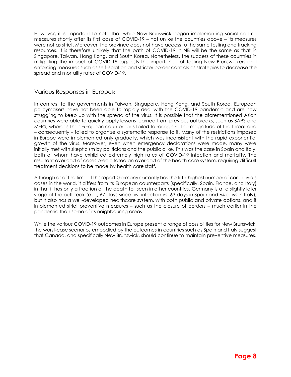However, it is important to note that while New Brunswick began implementing social control measures shortly after its first case of COVID-19 – not unlike the countries above – its measures were not as strict. Moreover, the province does not have access to the same testing and tracking resources. It is therefore unlikely that the path of COVID-19 in NB will be the same as that in Singapore, Taiwan, Hong Kong, and South Korea. Nonetheless, the success of these countries in mitigating the impact of COVID-19 suggests the importance of testing New Brunswickers and enforcing measures such as self-isolation and stricter border controls as strategies to decrease the spread and mortality rates of COVID-19.

#### <span id="page-7-0"></span>Various Responses in Europeix

In contrast to the governments in Taiwan, Singapore, Hong Kong, and South Korea, European policymakers have not been able to rapidly deal with the COVID-19 pandemic and are now struggling to keep up with the spread of the virus. It is possible that the aforementioned Asian countries were able to quickly apply lessons learned from previous outbreaks, such as SARS and MERS, whereas their European counterparts failed to recognize the magnitude of the threat and – consequently – failed to organize a systematic response to it. Many of the restrictions imposed in Europe were implemented only gradually, which was inconsistent with the rapid exponential growth of the virus. Moreover, even when emergency declarations were made, many were initially met with skepticism by politicians and the public alike. This was the case in Spain and Italy, both of whom have exhibited extremely high rates of COVID-19 infection and mortality. The resultant overload of cases precipitated an overload of the health care system, requiring difficult treatment decisions to be made by health care staff.

Although as of the time of this report Germany currently has the fifth-highest number of coronavirus cases in the world, it differs from its European counterparts (specifically, Spain, France, and Italy) in that it has only a fraction of the death toll seen in other countries. Germany is at a slightly later stage of the outbreak (e.g., 67 days since first infection vs. 63 days in Spain and 64 days in Italy), but it also has a well-developed healthcare system, with both public and private options, and it implemented strict preventive measures – such as the closure of borders – much earlier in the pandemic than some of its neighbouring areas.

While the various COVID-19 outcomes in Europe present a range of possibilities for New Brunswick, the worst-case scenarios embodied by the outcomes in countries such as Spain and Italy suggest that Canada, and specifically New Brunswick, should continue to maintain preventive measures.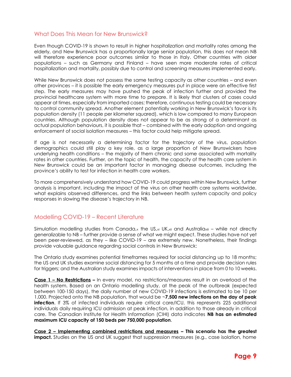#### <span id="page-8-0"></span>What Does This Mean for New Brunswick?

Even though COVID-19 is shown to result in higher hospitalization and mortality rates among the elderly, and New Brunswick has a proportionally large senior population, this does not mean NB will therefore experience poor outcomes similar to those in Italy. Other countries with older populations – such as Germany and Finland – have seen more moderate rates of critical hospitalization and mortality, possibly due to control and screening measures implemented early.

While New Brunswick does not possess the same testing capacity as other countries – and even other provinces – it is possible the early emergency measures put in place were an effective first step. The early measures may have pushed the peak of infection further and provided the provincial healthcare system with more time to prepare. It is likely that clusters of cases could appear at times, especially from imported cases; therefore, continuous testing could be necessary to control community spread. Another element potentially working in New Brunswick's favor is its population density (11 people per kilometer squared), which is low compared to many European countries. Although population density does not appear to be as strong of a determinant as actual population behaviours, it is possible that – combined with the early adoption and ongoing enforcement of social isolation measures – this factor could help mitigate spread.

If age is not necessarily a determining factor for the trajectory of the virus, population demographics could still play a key role, as a large proportion of New Brunswickers have underlying health conditions – the majority of them chronic and some associated with mortality rates in other countries. Further, on the topic of health, the capacity of the health care system in New Brunswick could be an important factor in managing disease outcomes, including the province's ability to test for infection in health care workers.

To more comprehensively understand how COVID-19 could progress within New Brunswick, further analysis is important, including the impact of the virus on other health care systems worldwide, what explains observed differences, and the links between health system capacity and policy responses in slowing the disease's trajectory in NB.

#### <span id="page-8-1"></span>Modelling COVID-19 – Recent Literature

Simulation modelling studies from Canada, the US,  $xi$  UK,  $xi$  and Australiaxii – while not directly generalizable to NB – further provide a sense of what we might expect. These studies have not yet been peer-reviewed, as they – like COVID-19 – are extremely new. Nonetheless, their findings provide valuable guidance regarding social controls in New Brunswick:

The Ontario study examines potential timeframes required for social distancing up to 18 months; the US and UK studies examine social distancing for 5 months at a time and provide decision rules for triggers; and the Australian study examines impacts of interventions in place from 0 to 10 weeks.

**Case 1 – No Restrictions –** In every model, no restrictions/measures result in an overload of the health system. Based on an Ontario modelling study, at the peak of the outbreak (expected between 100-150 days), the daily number of new COVID-19 infections is estimated to be 10 per 1,000. Projected onto the NB population, that would be ~**7,500 new infections on the day of peak infection**. If 3% of infected individuals require critical care/ICU, this represents 225 additional individuals daily requiring ICU admission at peak infection, in addition to those already in critical care. The Canadian Institute for Health Information (CIHI) data indicates **NB has an estimated maximum ICU capacity of 150 beds per 750,000 population**.

**Case 2 – Implementing combined restrictions and measures – This scenario has the greatest**  impact. Studies on the US and UK suggest that suppression measures (e.g., case isolation, home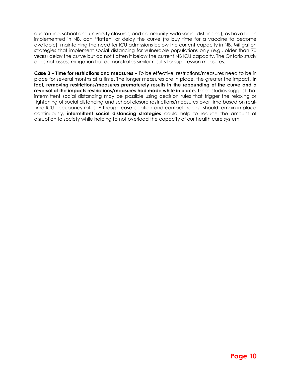quarantine, school and university closures, and community-wide social distancing), as have been implemented in NB, can 'flatten' or delay the curve (to buy time for a vaccine to become available), maintaining the need for ICU admissions below the current capacity in NB. Mitigation strategies that implement social distancing for vulnerable populations only (e.g., older than 70 years) delay the curve but do not flatten it below the current NB ICU capacity. The Ontario study does not assess mitigation but demonstrates similar results for suppression measures.

**Case 3 – Time for restrictions and measures –** To be effective, restrictions/measures need to be in place for several months at a time. The longer measures are in place, the greater the impact. **In fact, removing restrictions/measures prematurely results in the rebounding of the curve and a reversal of the impacts restrictions/measures had made while in place.** These studies suggest that intermittent social distancing may be possible using decision rules that trigger the relaxing or tightening of social distancing and school closure restrictions/measures over time based on realtime ICU occupancy rates. Although case isolation and contact tracing should remain in place continuously, **intermittent social distancing strategies** could help to reduce the amount of disruption to society while helping to not overload the capacity of our health care system.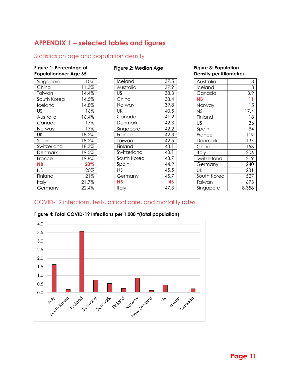## <span id="page-10-0"></span>**APPENDIX 1 – selected tables and figures**

#### <span id="page-10-1"></span>Statistics on age and population density

#### <span id="page-10-3"></span>**Figure 1: Percentage of Populationover Age 65**

| Singapore   | 10%   |
|-------------|-------|
| China       | 11.3% |
| Taiwan      | 14.4% |
| South Korea | 14.5% |
| Iceland     | 14.8% |
| US          | 16%   |
| Australia   | 16.4% |
| Canada      | 17%   |
| Norway      | 17%   |
| UK          | 18.2% |
| Spain       | 18.2% |
| Switzerland | 18.3% |
| Denmark     | 19.5% |
| France      | 19.8% |
| ΝB          | 20%   |
| ΝS          | 20%   |
| Finland     | 21%   |
| Italv       | 21.7% |
| Germany     | 22.4% |

#### <span id="page-10-4"></span>**Figure 2: Median Age**

| Iceland     | 37.5 |
|-------------|------|
| Australia   | 37.9 |
| US          | 38.3 |
| China       | 38.4 |
| Norway      | 39.8 |
| UK          | 40.5 |
| Canada      | 41.2 |
| Denmark     | 42.3 |
| Singapore   | 42.2 |
| France      | 42.3 |
| Taiwan      | 42.5 |
| Finland     | 43.1 |
| Switzerland | 43.1 |
| South Korea | 43.7 |
| Spain       | 44.9 |
| ΝS          | 45.5 |
| Germany     | 45.7 |
| ΝB          | 46   |
| Italy       | 47.3 |
|             |      |

#### <span id="page-10-5"></span>**Figure 3: Population Density per Kilometre<sup>2</sup>**

| Australia   | 3     |
|-------------|-------|
| lceland     | 3     |
| Canada      | 3.9   |
| ΝB          |       |
| Norway      | 15    |
| NS          | 17.4  |
| Finland     | 18    |
| US          | 36    |
| Spain       | 94    |
| France      | 119   |
| Denmark     | 137   |
| China       | 153   |
| Italy       | 206   |
| Switzerland | 219   |
| Germany     | 240   |
| UK          | 281   |
| South Korea | 527   |
| Taiwan      | 673   |
| Singapore   | 8,358 |

### <span id="page-10-2"></span>COVID-19 infections, tests, critical care, and mortality rates



#### <span id="page-10-6"></span>**Figure 4: Total COVID-19 Infections per 1,000 \*(total population)**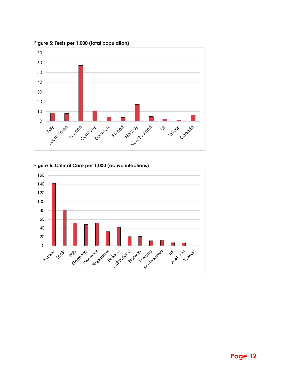

<span id="page-11-0"></span>**Figure 5: Tests per 1,000 (total population)** 

<span id="page-11-1"></span>

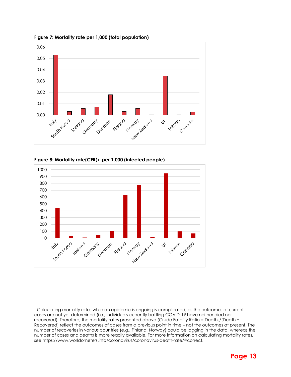

<span id="page-12-0"></span>**Figure 7: Mortality rate per 1,000 (total population)**

<span id="page-12-1"></span>



<sup>1</sup> Calculating mortality rates while an epidemic is ongoing is complicated, as the outcomes of current cases are not yet determined (i.e., individuals currently battling COVID-19 have neither died nor recovered). Therefore, the mortality rates presented above (Crude Fatality Ratio = Deaths/(Death + Recovered) reflect the outcomes of cases from a previous point in time – not the outcomes at present. The number of recoveries in various countries (e.g., Finland, Norway) could be lagging in the data, whereas the number of cases and deaths is more readily available. For more information on calculating mortality rates, se[e https://www.worldometers.info/coronavirus/coronavirus-death-rate/#correct.](https://www.worldometers.info/coronavirus/coronavirus-death-rate/#correct)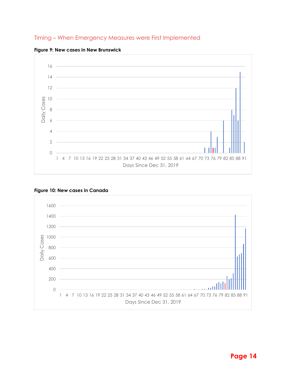#### <span id="page-13-0"></span>Timing – When Emergency Measures were First Implemented



<span id="page-13-1"></span>

#### <span id="page-13-2"></span>**Figure 10: New cases in Canada**

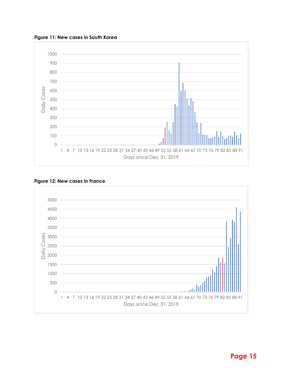<span id="page-14-0"></span>**Figure 11: New cases in South Korea**



#### <span id="page-14-1"></span>**Figure 12: New cases in France**

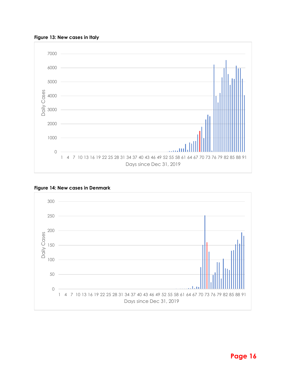<span id="page-15-0"></span>



#### <span id="page-15-1"></span>**Figure 14: New cases in Denmark**

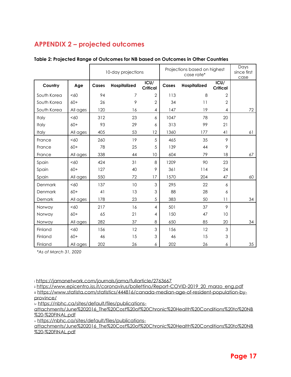## <span id="page-16-0"></span>**APPENDIX 2 – projected outcomes**

|              |          | 10-day projections |              |                         | Projections based on highest<br>case rate* |              |                         | Days<br>since first<br>case |
|--------------|----------|--------------------|--------------|-------------------------|--------------------------------------------|--------------|-------------------------|-----------------------------|
| Country      | Age      | Cases              | Hospitalized | ICU/<br><b>Critical</b> | Cases                                      | Hospitalized | ICU/<br><b>Critical</b> |                             |
| South Korea  | < 60     | 94                 | 7            | $\overline{2}$          | 113                                        | 8            | $\overline{2}$          |                             |
| South Korea  | $60+$    | 26                 | 9            | $\overline{2}$          | 34                                         | 11           | $\overline{2}$          |                             |
| South Korea  | All ages | 120                | 16           | 4                       | 147                                        | 19           | $\overline{4}$          | 72                          |
| Italy        | &50      | 312                | 23           | 6                       | 1047                                       | 78           | 20                      |                             |
| Italy        | $60+$    | 93                 | 29           | 6                       | 313                                        | 99           | 21                      |                             |
| <b>Italy</b> | All ages | 405                | 53           | 12                      | 1360                                       | 177          | 41                      | 61                          |
| France       | <60      | 260                | 19           | 5                       | 465                                        | 35           | 9                       |                             |
| France       | $60+$    | 78                 | 25           | 5                       | 139                                        | 44           | 9                       |                             |
| France       | All ages | 338                | 44           | 10                      | 604                                        | 79           | 18                      | 67                          |
| Spain        | < 60     | 424                | 31           | 8                       | 1209                                       | 90           | 23                      |                             |
| Spain        | $60+$    | 127                | 40           | 9                       | 361                                        | 114          | 24                      |                             |
| Spain        | All ages | 550                | 72           | 17                      | 1570                                       | 204          | 47                      | 60                          |
| Denmark      | < 60     | 137                | 10           | 3                       | 295                                        | 22           | 6                       |                             |
| Denmark      | $60+$    | 41                 | 13           | 3                       | 88                                         | 28           | 6                       |                             |
| Demark       | All ages | 178                | 23           | 5                       | 383                                        | 50           | 11                      | 34                          |
| Norway       | < 60     | 217                | 16           | $\overline{4}$          | 501                                        | 37           | 9                       |                             |
| Norway       | $60+$    | 65                 | 21           | 4                       | 150                                        | 47           | 10                      |                             |
| Norway       | All ages | 282                | 37           | 8                       | 650                                        | 85           | 20                      | 34                          |
| Finland      | < 60     | 156                | 12           | 3                       | 156                                        | 12           | 3                       |                             |
| Finland      | $60+$    | 46                 | 15           | 3                       | 46                                         | 15           | 3                       |                             |
| Finland      | All ages | 202                | 26           | 6                       | 202                                        | 26           | 6                       | 35                          |

#### <span id="page-16-1"></span>**Table 2: Projected Range of Outcomes for NB based on Outcomes in Other Countries**

*\*As of March 31, 2020*

<sup>i</sup> <https://jamanetwork.com/journals/jama/fullarticle/2763667>

ii [https://www.epicentro.iss.it/coronavirus/bollettino/Report-COVID-2019\\_20\\_marzo\\_eng.pdf](https://www.epicentro.iss.it/coronavirus/bollettino/Report-COVID-2019_20_marzo_eng.pdf) iii [https://www.statista.com/statistics/444816/canada-median-age-of-resident-population-by](https://www.statista.com/statistics/444816/canada-median-age-of-resident-population-by-province/)[province/](https://www.statista.com/statistics/444816/canada-median-age-of-resident-population-by-province/)

iv [https://nbhc.ca/sites/default/files/publications-](https://nbhc.ca/sites/default/files/publications-attachments/June%202016_The%20Cost%20of%20Chronic%20Health%20Conditions%20to%20NB%20-%20FINAL.pdf)

[attachments/June%202016\\_The%20Cost%20of%20Chronic%20Health%20Conditions%20to%20NB](https://nbhc.ca/sites/default/files/publications-attachments/June%202016_The%20Cost%20of%20Chronic%20Health%20Conditions%20to%20NB%20-%20FINAL.pdf) [%20-%20FINAL.pdf](https://nbhc.ca/sites/default/files/publications-attachments/June%202016_The%20Cost%20of%20Chronic%20Health%20Conditions%20to%20NB%20-%20FINAL.pdf)

<sup>v</sup> [https://nbhc.ca/sites/default/files/publications-](https://nbhc.ca/sites/default/files/publications-attachments/June%202016_The%20Cost%20of%20Chronic%20Health%20Conditions%20to%20NB%20-%20FINAL.pdf)

[attachments/June%202016\\_The%20Cost%20of%20Chronic%20Health%20Conditions%20to%20NB](https://nbhc.ca/sites/default/files/publications-attachments/June%202016_The%20Cost%20of%20Chronic%20Health%20Conditions%20to%20NB%20-%20FINAL.pdf) [%20-%20FINAL.pdf](https://nbhc.ca/sites/default/files/publications-attachments/June%202016_The%20Cost%20of%20Chronic%20Health%20Conditions%20to%20NB%20-%20FINAL.pdf)